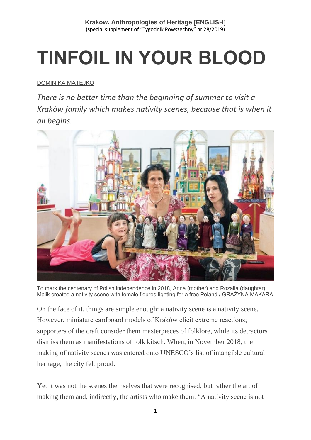# **TINFOIL IN YOUR BLOOD**

#### [DOMINIKA MATEJKO](https://www.tygodnikpowszechny.pl/autor/dominika-matejko-14096)

*There is no better time than the beginning of summer to visit a Kraków family which makes nativity scenes, because that is when it all begins.*



To mark the centenary of Polish independence in 2018, Anna (mother) and Rozalia (daughter) Malik created a nativity scene with female figures fighting for a free Poland / GRAŻYNA MAKARA

On the face of it, things are simple enough: a nativity scene is a nativity scene. However, miniature cardboard models of Kraków elicit extreme reactions; supporters of the craft consider them masterpieces of folklore, while its detractors dismiss them as manifestations of folk kitsch. When, in November 2018, the making of nativity scenes was entered onto UNESCO's list of intangible cultural heritage, the city felt proud.

Yet it was not the scenes themselves that were recognised, but rather the art of making them and, indirectly, the artists who make them. "A nativity scene is not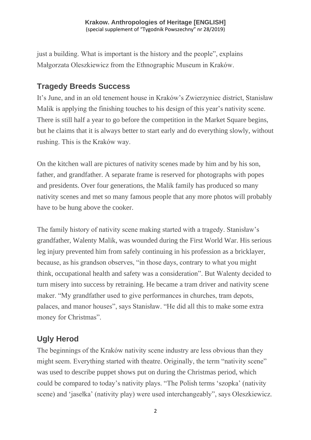just a building. What is important is the history and the people", explains Małgorzata Oleszkiewicz from the Ethnographic Museum in Kraków.

## **Tragedy Breeds Success**

It's June, and in an old tenement house in Kraków's Zwierzyniec district, Stanisław Malik is applying the finishing touches to his design of this year's nativity scene. There is still half a year to go before the competition in the Market Square begins, but he claims that it is always better to start early and do everything slowly, without rushing. This is the Kraków way.

On the kitchen wall are pictures of nativity scenes made by him and by his son, father, and grandfather. A separate frame is reserved for photographs with popes and presidents. Over four generations, the Malik family has produced so many nativity scenes and met so many famous people that any more photos will probably have to be hung above the cooker.

The family history of nativity scene making started with a tragedy. Stanisław's grandfather, Walenty Malik, was wounded during the First World War. His serious leg injury prevented him from safely continuing in his profession as a bricklayer, because, as his grandson observes, "in those days, contrary to what you might think, occupational health and safety was a consideration". But Walenty decided to turn misery into success by retraining. He became a tram driver and nativity scene maker. "My grandfather used to give performances in churches, tram depots, palaces, and manor houses", says Stanisław. "He did all this to make some extra money for Christmas".

# **Ugly Herod**

The beginnings of the Kraków nativity scene industry are less obvious than they might seem. Everything started with theatre. Originally, the term "nativity scene" was used to describe puppet shows put on during the Christmas period, which could be compared to today's nativity plays. "The Polish terms 'szopka' (nativity scene) and 'jasełka' (nativity play) were used interchangeably", says Oleszkiewicz.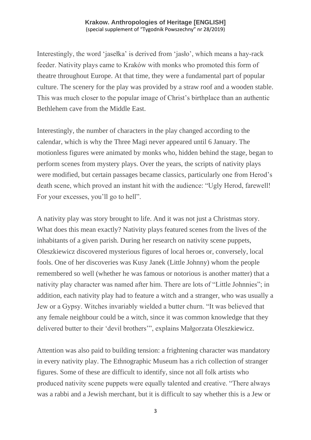Interestingly, the word 'jasełka' is derived from 'jasło', which means a hay-rack feeder. Nativity plays came to Kraków with monks who promoted this form of theatre throughout Europe. At that time, they were a fundamental part of popular culture. The scenery for the play was provided by a straw roof and a wooden stable. This was much closer to the popular image of Christ's birthplace than an authentic Bethlehem cave from the Middle East.

Interestingly, the number of characters in the play changed according to the calendar, which is why the Three Magi never appeared until 6 January. The motionless figures were animated by monks who, hidden behind the stage, began to perform scenes from mystery plays. Over the years, the scripts of nativity plays were modified, but certain passages became classics, particularly one from Herod's death scene, which proved an instant hit with the audience: "Ugly Herod, farewell! For your excesses, you'll go to hell".

A nativity play was story brought to life. And it was not just a Christmas story. What does this mean exactly? Nativity plays featured scenes from the lives of the inhabitants of a given parish. During her research on nativity scene puppets, Oleszkiewicz discovered mysterious figures of local heroes or, conversely, local fools. One of her discoveries was Kusy Janek (Little Johnny) whom the people remembered so well (whether he was famous or notorious is another matter) that a nativity play character was named after him. There are lots of "Little Johnnies"; in addition, each nativity play had to feature a witch and a stranger, who was usually a Jew or a Gypsy. Witches invariably wielded a butter churn. "It was believed that any female neighbour could be a witch, since it was common knowledge that they delivered butter to their 'devil brothers'", explains Małgorzata Oleszkiewicz.

Attention was also paid to building tension: a frightening character was mandatory in every nativity play. The Ethnographic Museum has a rich collection of stranger figures. Some of these are difficult to identify, since not all folk artists who produced nativity scene puppets were equally talented and creative. "There always was a rabbi and a Jewish merchant, but it is difficult to say whether this is a Jew or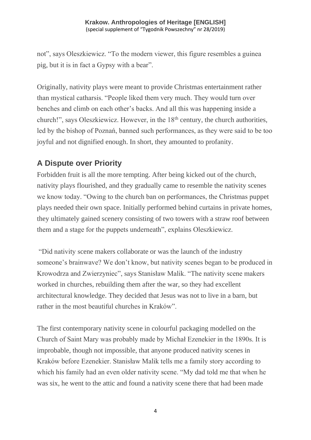not", says Oleszkiewicz. "To the modern viewer, this figure resembles a guinea pig, but it is in fact a Gypsy with a bear".

Originally, nativity plays were meant to provide Christmas entertainment rather than mystical catharsis. "People liked them very much. They would turn over benches and climb on each other's backs. And all this was happening inside a church!", says Oleszkiewicz. However, in the 18<sup>th</sup> century, the church authorities, led by the bishop of Poznań, banned such performances, as they were said to be too joyful and not dignified enough. In short, they amounted to profanity.

## **A Dispute over Priority**

Forbidden fruit is all the more tempting. After being kicked out of the church, nativity plays flourished, and they gradually came to resemble the nativity scenes we know today. "Owing to the church ban on performances, the Christmas puppet plays needed their own space. Initially performed behind curtains in private homes, they ultimately gained scenery consisting of two towers with a straw roof between them and a stage for the puppets underneath", explains Oleszkiewicz.

"Did nativity scene makers collaborate or was the launch of the industry someone's brainwave? We don't know, but nativity scenes began to be produced in Krowodrza and Zwierzyniec", says Stanisław Malik. "The nativity scene makers worked in churches, rebuilding them after the war, so they had excellent architectural knowledge. They decided that Jesus was not to live in a barn, but rather in the most beautiful churches in Kraków".

The first contemporary nativity scene in colourful packaging modelled on the Church of Saint Mary was probably made by Michał Ezenekier in the 1890s. It is improbable, though not impossible, that anyone produced nativity scenes in Kraków before Ezenekier. Stanisław Malik tells me a family story according to which his family had an even older nativity scene. "My dad told me that when he was six, he went to the attic and found a nativity scene there that had been made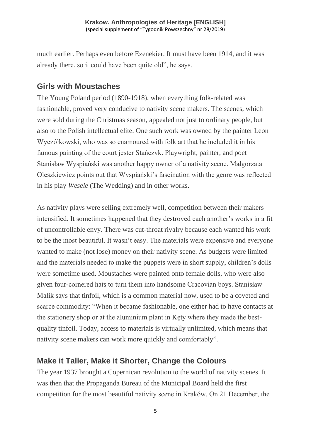much earlier. Perhaps even before Ezenekier. It must have been 1914, and it was already there, so it could have been quite old", he says.

### **Girls with Moustaches**

The Young Poland period (1890-1918), when everything folk-related was fashionable, proved very conducive to nativity scene makers. The scenes, which were sold during the Christmas season, appealed not just to ordinary people, but also to the Polish intellectual elite. One such work was owned by the painter Leon Wyczółkowski, who was so enamoured with folk art that he included it in his famous painting of the court jester Stańczyk. Playwright, painter, and poet Stanisław Wyspiański was another happy owner of a nativity scene. Małgorzata Oleszkiewicz points out that Wyspiański's fascination with the genre was reflected in his play *Wesele* (The Wedding) and in other works.

As nativity plays were selling extremely well, competition between their makers intensified. It sometimes happened that they destroyed each another's works in a fit of uncontrollable envy. There was cut-throat rivalry because each wanted his work to be the most beautiful. It wasn't easy. The materials were expensive and everyone wanted to make (not lose) money on their nativity scene. As budgets were limited and the materials needed to make the puppets were in short supply, children's dolls were sometime used. Moustaches were painted onto female dolls, who were also given four-cornered hats to turn them into handsome Cracovian boys. Stanisław Malik says that tinfoil, which is a common material now, used to be a coveted and scarce commodity: "When it became fashionable, one either had to have contacts at the stationery shop or at the aluminium plant in Kęty where they made the bestquality tinfoil. Today, access to materials is virtually unlimited, which means that nativity scene makers can work more quickly and comfortably".

## **Make it Taller, Make it Shorter, Change the Colours**

The year 1937 brought a Copernican revolution to the world of nativity scenes. It was then that the Propaganda Bureau of the Municipal Board held the first competition for the most beautiful nativity scene in Kraków. On 21 December, the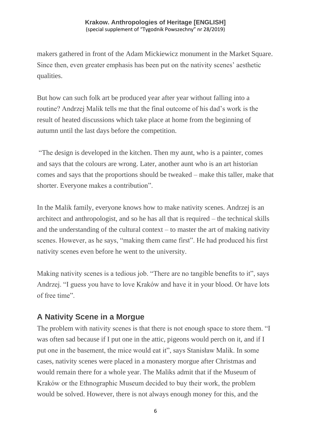makers gathered in front of the Adam Mickiewicz monument in the Market Square. Since then, even greater emphasis has been put on the nativity scenes' aesthetic qualities.

But how can such folk art be produced year after year without falling into a routine? Andrzej Malik tells me that the final outcome of his dad's work is the result of heated discussions which take place at home from the beginning of autumn until the last days before the competition.

"The design is developed in the kitchen. Then my aunt, who is a painter, comes and says that the colours are wrong. Later, another aunt who is an art historian comes and says that the proportions should be tweaked – make this taller, make that shorter. Everyone makes a contribution".

In the Malik family, everyone knows how to make nativity scenes. Andrzej is an architect and anthropologist, and so he has all that is required – the technical skills and the understanding of the cultural context – to master the art of making nativity scenes. However, as he says, "making them came first". He had produced his first nativity scenes even before he went to the university.

Making nativity scenes is a tedious job. "There are no tangible benefits to it", says Andrzej. "I guess you have to love Kraków and have it in your blood. Or have lots of free time".

## **A Nativity Scene in a Morgue**

The problem with nativity scenes is that there is not enough space to store them. "I was often sad because if I put one in the attic, pigeons would perch on it, and if I put one in the basement, the mice would eat it", says Stanisław Malik. In some cases, nativity scenes were placed in a monastery morgue after Christmas and would remain there for a whole year. The Maliks admit that if the Museum of Kraków or the Ethnographic Museum decided to buy their work, the problem would be solved. However, there is not always enough money for this, and the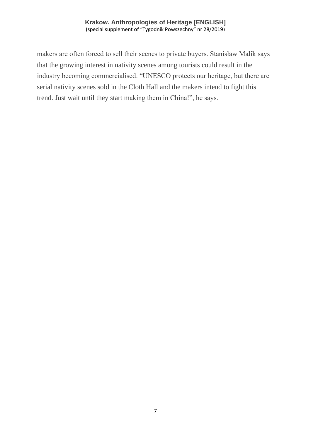makers are often forced to sell their scenes to private buyers. Stanisław Malik says that the growing interest in nativity scenes among tourists could result in the industry becoming commercialised. "UNESCO protects our heritage, but there are serial nativity scenes sold in the Cloth Hall and the makers intend to fight this trend. Just wait until they start making them in China!", he says.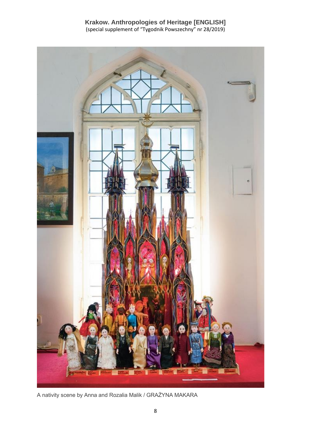

A nativity scene by Anna and Rozalia Malik / GRAŻYNA MAKARA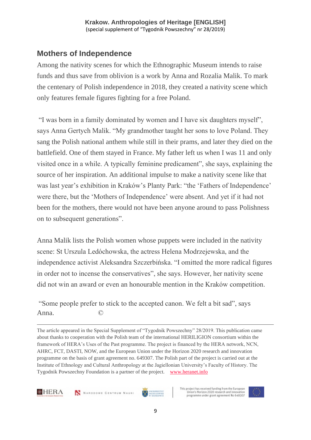## **Mothers of Independence**

Among the nativity scenes for which the Ethnographic Museum intends to raise funds and thus save from oblivion is a work by Anna and Rozalia Malik. To mark the centenary of Polish independence in 2018, they created a nativity scene which only features female figures fighting for a free Poland.

"I was born in a family dominated by women and I have six daughters myself", says Anna Gertych Malik. "My grandmother taught her sons to love Poland. They sang the Polish national anthem while still in their prams, and later they died on the battlefield. One of them stayed in France. My father left us when I was 11 and only visited once in a while. A typically feminine predicament", she says, explaining the source of her inspiration. An additional impulse to make a nativity scene like that was last year's exhibition in Kraków's Planty Park: "the 'Fathers of Independence' were there, but the 'Mothers of Independence' were absent. And yet if it had not been for the mothers, there would not have been anyone around to pass Polishness on to subsequent generations".

Anna Malik lists the Polish women whose puppets were included in the nativity scene: St Urszula Ledóchowska, the actress Helena Modrzejewska, and the independence activist Aleksandra Szczerbińska. "I omitted the more radical figures in order not to incense the conservatives", she says. However, her nativity scene did not win an award or even an honourable mention in the Kraków competition.

"Some people prefer to stick to the accepted canon. We felt a bit sad", says Anna

The article appeared in the Special Supplement of "Tygodnik Powszechny" 28/2019. This publication came about thanks to cooperation with the Polish team of the international HERILIGION consortium within the framework of HERA's Uses of the Past programme. The project is financed by the HERA network, NCN, AHRC, FCT, DASTI, NOW, and the European Union under the Horizon 2020 research and innovation programme on the basis of grant agreement no. 649307. The Polish part of the project is carried out at the Institute of Ethnology and Cultural Anthropology at the Jagiellonian University's Faculty of History. The Tygodnik Powszechny Foundation is a partner of the project. [www.heranet.info](http://www.heranet.info/)





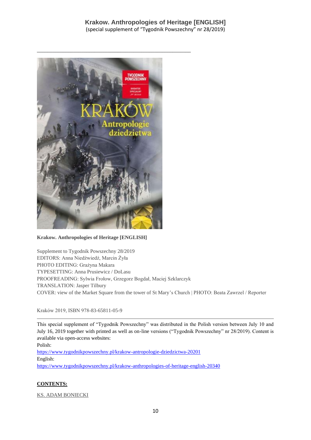

#### **Krakow. Anthropologies of Heritage [ENGLISH]**

Supplement to Tygodnik Powszechny 28/2019 EDITORS: Anna Niedźwiedź, Marcin Żyła PHOTO EDITING: Grażyna Makara TYPESETTING: Anna Prusiewicz / DoLasu PROOFREADING: Sylwia Frołow, Grzegorz Bogdał, Maciej Szklarczyk TRANSLATION: Jasper Tilbury COVER: view of the Market Square from the tower of St Mary's Church | PHOTO: Beata Zawrzel / Reporter

Kraków 2019, ISBN 978-83-65811-05-9

This special supplement of "Tygodnik Powszechny" was distributed in the Polish version between July 10 and July 16, 2019 together with printed as well as on-line versions ("Tygodnik Powszechny" nr 28/2019). Content is available via open-access websites:

Polish: <https://www.tygodnikpowszechny.pl/krakow-antropologie-dziedzictwa-20201> English: <https://www.tygodnikpowszechny.pl/krakow-anthropologies-of-heritage-english-20340>

#### **CONTENTS:**

[KS. ADAM BONIECKI](https://www.tygodnikpowszechny.pl/autor/ks-adam-boniecki-52)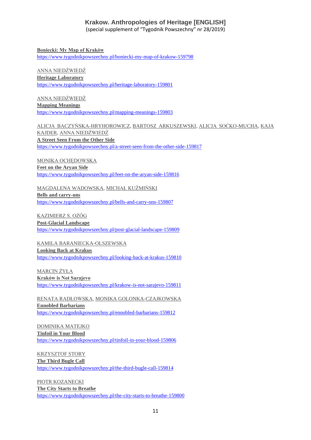#### **Krakow. Anthropologies of Heritage [ENGLISH]**

(special supplement of "Tygodnik Powszechny" nr 28/2019)

**[Boniecki: My Map of Kraków](https://www.tygodnikpowszechny.pl/boniecki-my-map-of-krakow-159798)** <https://www.tygodnikpowszechny.pl/boniecki-my-map-of-krakow-159798>

#### [ANNA NIEDŹWIEDŹ](https://www.tygodnikpowszechny.pl/autor/anna-niedzwiedz-1163) **[Heritage Laboratory](https://www.tygodnikpowszechny.pl/heritage-laboratory-159801)** <https://www.tygodnikpowszechny.pl/heritage-laboratory-159801>

[ANNA NIEDŹWIEDŹ](https://www.tygodnikpowszechny.pl/autor/anna-niedzwiedz-1163) **[Mapping Meanings](https://www.tygodnikpowszechny.pl/mapping-meanings-159803)** <https://www.tygodnikpowszechny.pl/mapping-meanings-159803>

[ALICJA BACZYŃSKA-HRYHOROWICZ,](https://www.tygodnikpowszechny.pl/autor/alicja-baczynska-hryhorowicz-20191) [BARTOSZ ARKUSZEWSKI,](https://www.tygodnikpowszechny.pl/autor/bartosz-arkuszewski-20192) [ALICJA SOĆKO-MUCHA,](https://www.tygodnikpowszechny.pl/autor/alicja-socko-mucha-20193) [KAJA](https://www.tygodnikpowszechny.pl/autor/kaja-kajder-20194)  [KAJDER,](https://www.tygodnikpowszechny.pl/autor/kaja-kajder-20194) [ANNA NIEDŹWIEDŹ](https://www.tygodnikpowszechny.pl/autor/anna-niedzwiedz-1163) **[A Street Seen From the Other Side](https://www.tygodnikpowszechny.pl/a-street-seen-from-the-other-side-159817)** <https://www.tygodnikpowszechny.pl/a-street-seen-from-the-other-side-159817>

[MONIKA OCHĘDOWSKA](https://www.tygodnikpowszechny.pl/autor/monika-ochedowska-16005) **[Feet on the Aryan Side](https://www.tygodnikpowszechny.pl/feet-on-the-aryan-side-159816)** <https://www.tygodnikpowszechny.pl/feet-on-the-aryan-side-159816>

[MAGDALENA WADOWSKA,](https://www.tygodnikpowszechny.pl/autor/magdalena-wadowska-20195) [MICHAŁ KUŹMIŃSKI](https://www.tygodnikpowszechny.pl/autor/michal-kuzminski-109) **[Bells and carry-ons](https://www.tygodnikpowszechny.pl/bells-and-carry-ons-159807)** <https://www.tygodnikpowszechny.pl/bells-and-carry-ons-159807>

[KAZIMIERZ S. OŻÓG](https://www.tygodnikpowszechny.pl/autor/kazimierz-s-ozog-20196) **[Post-Glacial Landscape](https://www.tygodnikpowszechny.pl/post-glacial-landscape-159809)** <https://www.tygodnikpowszechny.pl/post-glacial-landscape-159809>

[KAMILA BARANIECKA-OLSZEWSKA](https://www.tygodnikpowszechny.pl/autor/kamila-baraniecka-olszewska-20197) **[Looking Back at Krakus](https://www.tygodnikpowszechny.pl/looking-back-at-krakus-159810)** <https://www.tygodnikpowszechny.pl/looking-back-at-krakus-159810>

[MARCIN ŻYŁA](https://www.tygodnikpowszechny.pl/autor/marcin-zyla-59) **[Kraków is Not Sarajevo](https://www.tygodnikpowszechny.pl/krakow-is-not-sarajevo-159811)** <https://www.tygodnikpowszechny.pl/krakow-is-not-sarajevo-159811>

[RENATA RADŁOWSKA,](https://www.tygodnikpowszechny.pl/autor/renata-radlowska-20199) [MONIKA GOLONKA-CZAJKOWSKA](https://www.tygodnikpowszechny.pl/autor/monika-golonka-czajkowska-20198) **[Ennobled Barbarians](https://www.tygodnikpowszechny.pl/ennobled-barbarians-159812)** <https://www.tygodnikpowszechny.pl/ennobled-barbarians-159812>

[DOMINIKA MATEJKO](https://www.tygodnikpowszechny.pl/autor/dominika-matejko-14096) **[Tinfoil in Your Blood](https://www.tygodnikpowszechny.pl/tinfoil-in-your-blood-159806)** <https://www.tygodnikpowszechny.pl/tinfoil-in-your-blood-159806>

[KRZYSZTOF STORY](https://www.tygodnikpowszechny.pl/autor/krzysztof-story-16205)

**[The Third Bugle Call](https://www.tygodnikpowszechny.pl/the-third-bugle-call-159814)** <https://www.tygodnikpowszechny.pl/the-third-bugle-call-159814>

[PIOTR KOZANECKI](https://www.tygodnikpowszechny.pl/autor/piotr-kozanecki-14469) **[The City Starts to Breathe](https://www.tygodnikpowszechny.pl/the-city-starts-to-breathe-159800)** <https://www.tygodnikpowszechny.pl/the-city-starts-to-breathe-159800>